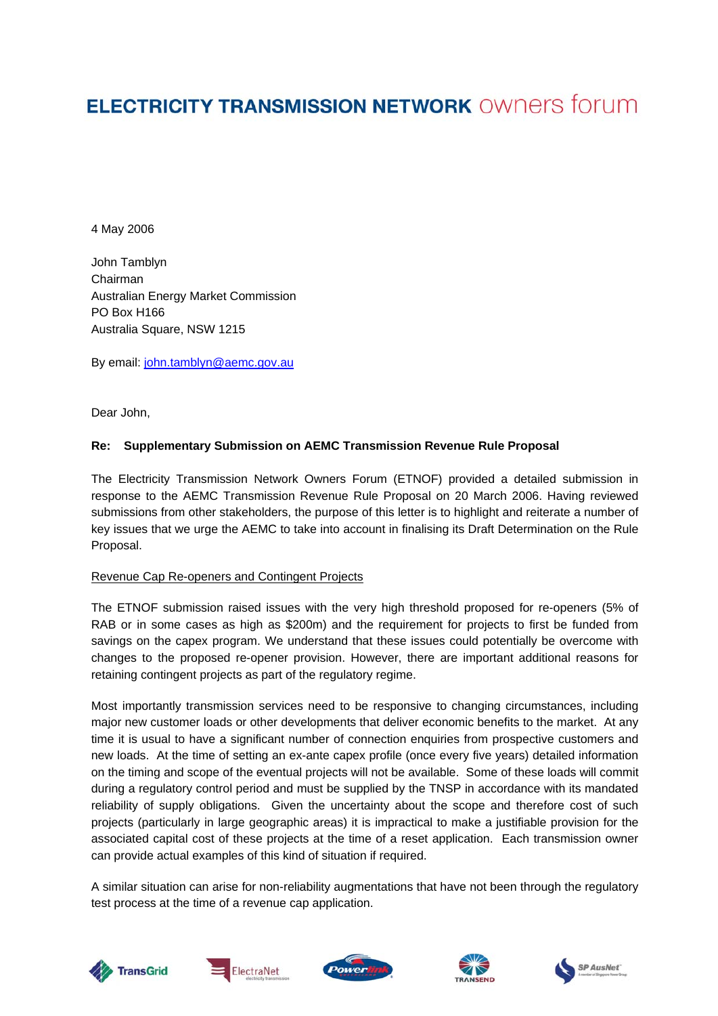# **ELECTRICITY TRANSMISSION NETWORK OWNERS forum**

4 May 2006

John Tamblyn Chairman Australian Energy Market Commission PO Box H166 Australia Square, NSW 1215

By email: [john.tamblyn@aemc.gov.au](mailto:john.tamblyn@aemc.gov.au) 

Dear John,

## **Re: Supplementary Submission on AEMC Transmission Revenue Rule Proposal**

The Electricity Transmission Network Owners Forum (ETNOF) provided a detailed submission in response to the AEMC Transmission Revenue Rule Proposal on 20 March 2006. Having reviewed submissions from other stakeholders, the purpose of this letter is to highlight and reiterate a number of key issues that we urge the AEMC to take into account in finalising its Draft Determination on the Rule Proposal.

## Revenue Cap Re-openers and Contingent Projects

The ETNOF submission raised issues with the very high threshold proposed for re-openers (5% of RAB or in some cases as high as \$200m) and the requirement for projects to first be funded from savings on the capex program. We understand that these issues could potentially be overcome with changes to the proposed re-opener provision. However, there are important additional reasons for retaining contingent projects as part of the regulatory regime.

Most importantly transmission services need to be responsive to changing circumstances, including major new customer loads or other developments that deliver economic benefits to the market. At any time it is usual to have a significant number of connection enquiries from prospective customers and new loads. At the time of setting an ex-ante capex profile (once every five years) detailed information on the timing and scope of the eventual projects will not be available. Some of these loads will commit during a regulatory control period and must be supplied by the TNSP in accordance with its mandated reliability of supply obligations. Given the uncertainty about the scope and therefore cost of such projects (particularly in large geographic areas) it is impractical to make a justifiable provision for the associated capital cost of these projects at the time of a reset application. Each transmission owner can provide actual examples of this kind of situation if required.

A similar situation can arise for non-reliability augmentations that have not been through the regulatory test process at the time of a revenue cap application.









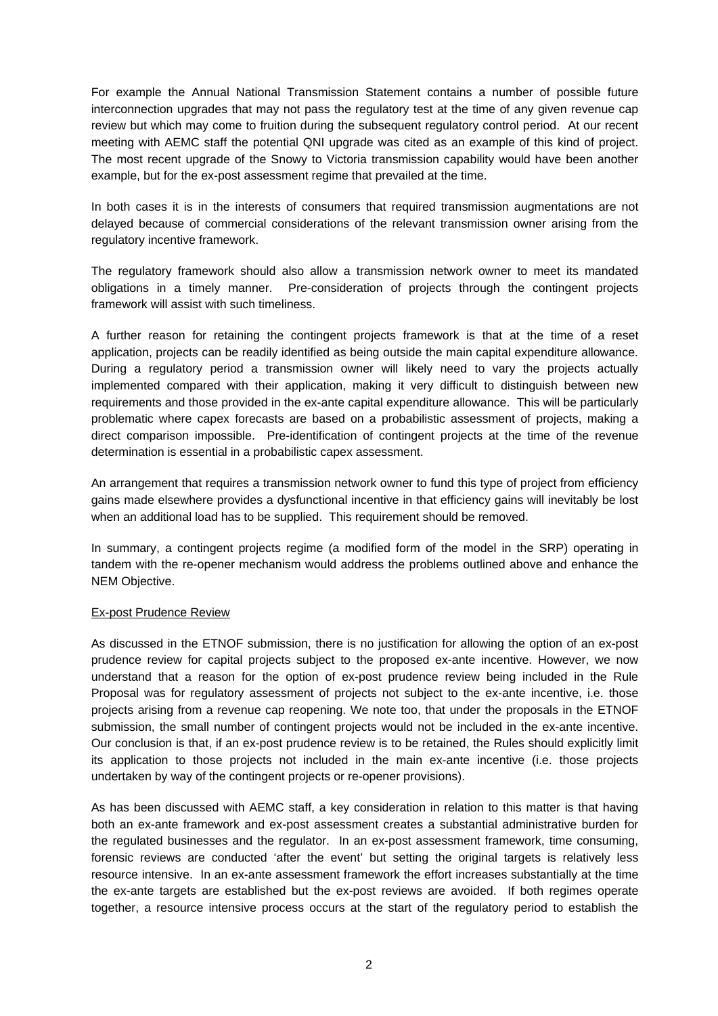For example the Annual National Transmission Statement contains a number of possible future interconnection upgrades that may not pass the regulatory test at the time of any given revenue cap review but which may come to fruition during the subsequent regulatory control period. At our recent meeting with AEMC staff the potential QNI upgrade was cited as an example of this kind of project. The most recent upgrade of the Snowy to Victoria transmission capability would have been another example, but for the ex-post assessment regime that prevailed at the time.

In both cases it is in the interests of consumers that required transmission augmentations are not delayed because of commercial considerations of the relevant transmission owner arising from the regulatory incentive framework.

The regulatory framework should also allow a transmission network owner to meet its mandated obligations in a timely manner. Pre-consideration of projects through the contingent projects framework will assist with such timeliness.

A further reason for retaining the contingent projects framework is that at the time of a reset application, projects can be readily identified as being outside the main capital expenditure allowance. During a regulatory period a transmission owner will likely need to vary the projects actually implemented compared with their application, making it very difficult to distinguish between new requirements and those provided in the ex-ante capital expenditure allowance. This will be particularly problematic where capex forecasts are based on a probabilistic assessment of projects, making a direct comparison impossible. Pre-identification of contingent projects at the time of the revenue determination is essential in a probabilistic capex assessment.

An arrangement that requires a transmission network owner to fund this type of project from efficiency gains made elsewhere provides a dysfunctional incentive in that efficiency gains will inevitably be lost when an additional load has to be supplied. This requirement should be removed.

In summary, a contingent projects regime (a modified form of the model in the SRP) operating in tandem with the re-opener mechanism would address the problems outlined above and enhance the NEM Objective.

## Ex-post Prudence Review

As discussed in the ETNOF submission, there is no justification for allowing the option of an ex-post prudence review for capital projects subject to the proposed ex-ante incentive. However, we now understand that a reason for the option of ex-post prudence review being included in the Rule Proposal was for regulatory assessment of projects not subject to the ex-ante incentive, i.e. those projects arising from a revenue cap reopening. We note too, that under the proposals in the ETNOF submission, the small number of contingent projects would not be included in the ex-ante incentive. Our conclusion is that, if an ex-post prudence review is to be retained, the Rules should explicitly limit its application to those projects not included in the main ex-ante incentive (i.e. those projects undertaken by way of the contingent projects or re-opener provisions).

As has been discussed with AEMC staff, a key consideration in relation to this matter is that having both an ex-ante framework and ex-post assessment creates a substantial administrative burden for the regulated businesses and the regulator. In an ex-post assessment framework, time consuming, forensic reviews are conducted 'after the event' but setting the original targets is relatively less resource intensive. In an ex-ante assessment framework the effort increases substantially at the time the ex-ante targets are established but the ex-post reviews are avoided. If both regimes operate together, a resource intensive process occurs at the start of the regulatory period to establish the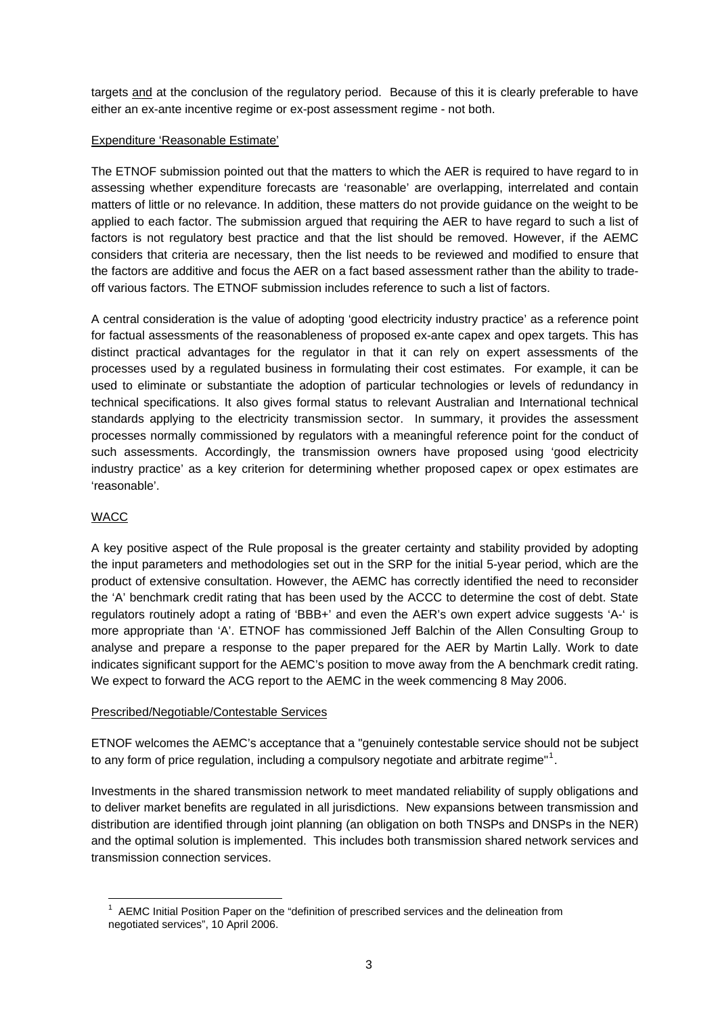targets and at the conclusion of the regulatory period. Because of this it is clearly preferable to have either an ex-ante incentive regime or ex-post assessment regime - not both.

## Expenditure 'Reasonable Estimate'

The ETNOF submission pointed out that the matters to which the AER is required to have regard to in assessing whether expenditure forecasts are 'reasonable' are overlapping, interrelated and contain matters of little or no relevance. In addition, these matters do not provide guidance on the weight to be applied to each factor. The submission argued that requiring the AER to have regard to such a list of factors is not regulatory best practice and that the list should be removed. However, if the AEMC considers that criteria are necessary, then the list needs to be reviewed and modified to ensure that the factors are additive and focus the AER on a fact based assessment rather than the ability to tradeoff various factors. The ETNOF submission includes reference to such a list of factors.

A central consideration is the value of adopting 'good electricity industry practice' as a reference point for factual assessments of the reasonableness of proposed ex-ante capex and opex targets. This has distinct practical advantages for the regulator in that it can rely on expert assessments of the processes used by a regulated business in formulating their cost estimates. For example, it can be used to eliminate or substantiate the adoption of particular technologies or levels of redundancy in technical specifications. It also gives formal status to relevant Australian and International technical standards applying to the electricity transmission sector. In summary, it provides the assessment processes normally commissioned by regulators with a meaningful reference point for the conduct of such assessments. Accordingly, the transmission owners have proposed using 'good electricity industry practice' as a key criterion for determining whether proposed capex or opex estimates are 'reasonable'.

# WACC

A key positive aspect of the Rule proposal is the greater certainty and stability provided by adopting the input parameters and methodologies set out in the SRP for the initial 5-year period, which are the product of extensive consultation. However, the AEMC has correctly identified the need to reconsider the 'A' benchmark credit rating that has been used by the ACCC to determine the cost of debt. State regulators routinely adopt a rating of 'BBB+' and even the AER's own expert advice suggests 'A-' is more appropriate than 'A'. ETNOF has commissioned Jeff Balchin of the Allen Consulting Group to analyse and prepare a response to the paper prepared for the AER by Martin Lally. Work to date indicates significant support for the AEMC's position to move away from the A benchmark credit rating. We expect to forward the ACG report to the AEMC in the week commencing 8 May 2006.

## Prescribed/Negotiable/Contestable Services

ETNOF welcomes the AEMC's acceptance that a "genuinely contestable service should not be subject to any form of price regulation, including a compulsory negotiate and arbitrate regime"<sup>[1](#page-2-0)</sup>.

Investments in the shared transmission network to meet mandated reliability of supply obligations and to deliver market benefits are regulated in all jurisdictions. New expansions between transmission and distribution are identified through joint planning (an obligation on both TNSPs and DNSPs in the NER) and the optimal solution is implemented. This includes both transmission shared network services and transmission connection services.

<span id="page-2-0"></span> $\overline{a}$  $1$  AEMC Initial Position Paper on the "definition of prescribed services and the delineation from negotiated services", 10 April 2006.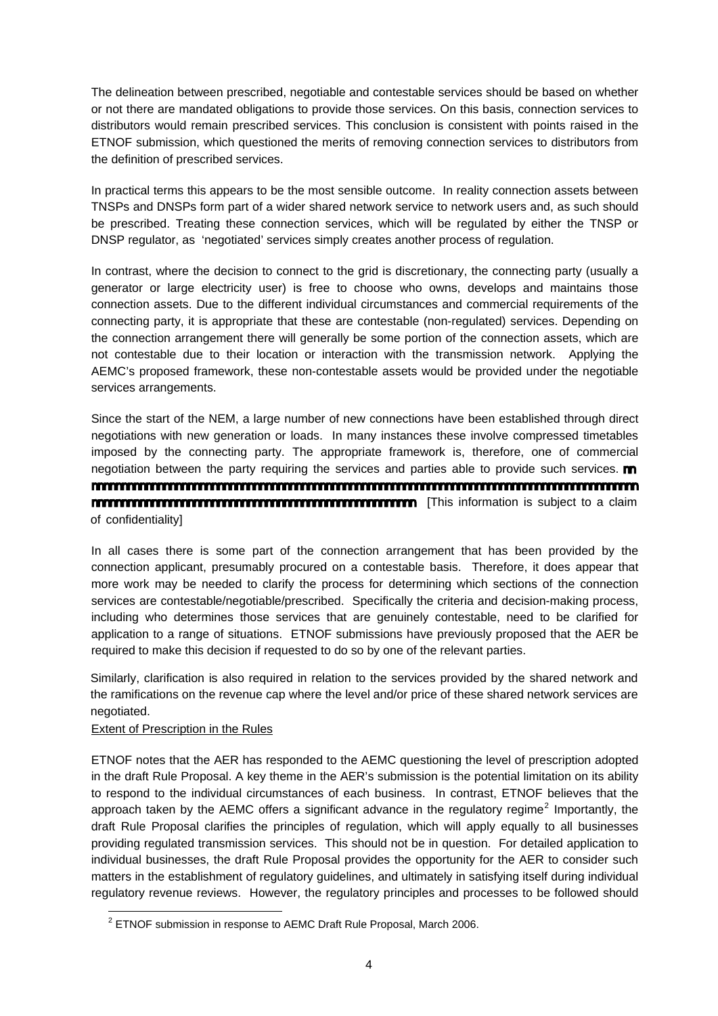The delineation between prescribed, negotiable and contestable services should be based on whether or not there are mandated obligations to provide those services. On this basis, connection services to distributors would remain prescribed services. This conclusion is consistent with points raised in the ETNOF submission, which questioned the merits of removing connection services to distributors from the definition of prescribed services.

In practical terms this appears to be the most sensible outcome. In reality connection assets between TNSPs and DNSPs form part of a wider shared network service to network users and, as such should be prescribed. Treating these connection services, which will be regulated by either the TNSP or DNSP regulator, as 'negotiated' services simply creates another process of regulation.

In contrast, where the decision to connect to the grid is discretionary, the connecting party (usually a generator or large electricity user) is free to choose who owns, develops and maintains those connection assets. Due to the different individual circumstances and commercial requirements of the connecting party, it is appropriate that these are contestable (non-regulated) services. Depending on the connection arrangement there will generally be some portion of the connection assets, which are not contestable due to their location or interaction with the transmission network. Applying the AEMC's proposed framework, these non-contestable assets would be provided under the negotiable services arrangements.

Since the start of the NEM, a large number of new connections have been established through direct negotiations with new generation or loads. In many instances these involve compressed timetables imposed by the connecting party. The appropriate framework is, therefore, one of commercial negotiation between the party requiring the services and parties able to provide such services. nnnnnnnnnnnnnnnnnnnnnnnnnnnnnnnnnnnnnnnnnnnnnnnnnnnnnnnnnnnnnnnnnnnnnnnnnnnnnnnnnnnnnnnnnnn nnnnnnnnnnnnnnnnnnnnnnnnnnnnnnnnnnnnnnnnnnnnnnnnnnnnnn [This information is subject to a claim of confidentiality]

In all cases there is some part of the connection arrangement that has been provided by the connection applicant, presumably procured on a contestable basis. Therefore, it does appear that more work may be needed to clarify the process for determining which sections of the connection services are contestable/negotiable/prescribed. Specifically the criteria and decision-making process, including who determines those services that are genuinely contestable, need to be clarified for application to a range of situations. ETNOF submissions have previously proposed that the AER be required to make this decision if requested to do so by one of the relevant parties.

Similarly, clarification is also required in relation to the services provided by the shared network and the ramifications on the revenue cap where the level and/or price of these shared network services are negotiated.

## Extent of Prescription in the Rules

ETNOF notes that the AER has responded to the AEMC questioning the level of prescription adopted in the draft Rule Proposal. A key theme in the AER's submission is the potential limitation on its ability to respond to the individual circumstances of each business. In contrast, ETNOF believes that the approach taken by the AEMC offers a significant advance in the regulatory regime<sup>[2](#page-3-0)</sup> Importantly, the draft Rule Proposal clarifies the principles of regulation, which will apply equally to all businesses providing regulated transmission services. This should not be in question. For detailed application to individual businesses, the draft Rule Proposal provides the opportunity for the AER to consider such matters in the establishment of regulatory guidelines, and ultimately in satisfying itself during individual regulatory revenue reviews. However, the regulatory principles and processes to be followed should

<span id="page-3-0"></span> 2 ETNOF submission in response to AEMC Draft Rule Proposal, March 2006.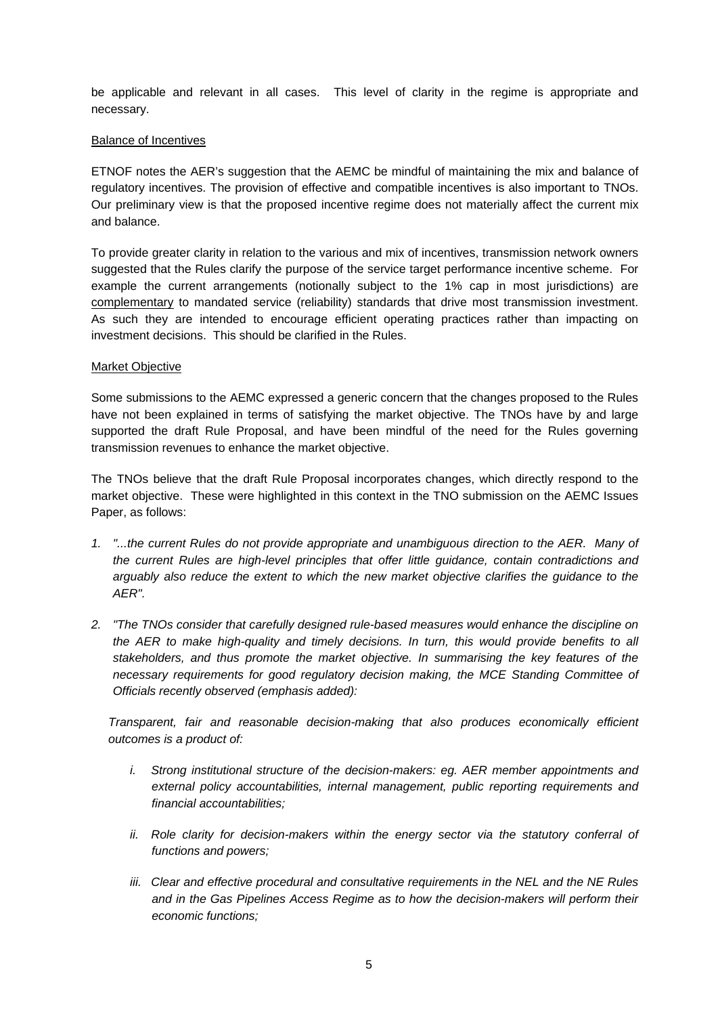be applicable and relevant in all cases. This level of clarity in the regime is appropriate and necessary.

## Balance of Incentives

ETNOF notes the AER's suggestion that the AEMC be mindful of maintaining the mix and balance of regulatory incentives. The provision of effective and compatible incentives is also important to TNOs. Our preliminary view is that the proposed incentive regime does not materially affect the current mix and balance.

To provide greater clarity in relation to the various and mix of incentives, transmission network owners suggested that the Rules clarify the purpose of the service target performance incentive scheme. For example the current arrangements (notionally subject to the 1% cap in most jurisdictions) are complementary to mandated service (reliability) standards that drive most transmission investment. As such they are intended to encourage efficient operating practices rather than impacting on investment decisions. This should be clarified in the Rules.

#### Market Objective

Some submissions to the AEMC expressed a generic concern that the changes proposed to the Rules have not been explained in terms of satisfying the market objective. The TNOs have by and large supported the draft Rule Proposal, and have been mindful of the need for the Rules governing transmission revenues to enhance the market objective.

The TNOs believe that the draft Rule Proposal incorporates changes, which directly respond to the market objective. These were highlighted in this context in the TNO submission on the AEMC Issues Paper, as follows:

- *1. "...the current Rules do not provide appropriate and unambiguous direction to the AER. Many of the current Rules are high-level principles that offer little guidance, contain contradictions and arguably also reduce the extent to which the new market objective clarifies the guidance to the AER".*
- *2. "The TNOs consider that carefully designed rule-based measures would enhance the discipline on the AER to make high-quality and timely decisions. In turn, this would provide benefits to all stakeholders, and thus promote the market objective. In summarising the key features of the necessary requirements for good regulatory decision making, the MCE Standing Committee of Officials recently observed (emphasis added):*

*Transparent, fair and reasonable decision-making that also produces economically efficient outcomes is a product of:* 

- *i. Strong institutional structure of the decision-makers: eg. AER member appointments and external policy accountabilities, internal management, public reporting requirements and financial accountabilities;*
- ii. Role clarity for decision-makers within the energy sector via the statutory conferral of *functions and powers;*
- *iii. Clear and effective procedural and consultative requirements in the NEL and the NE Rules and in the Gas Pipelines Access Regime as to how the decision-makers will perform their economic functions;*